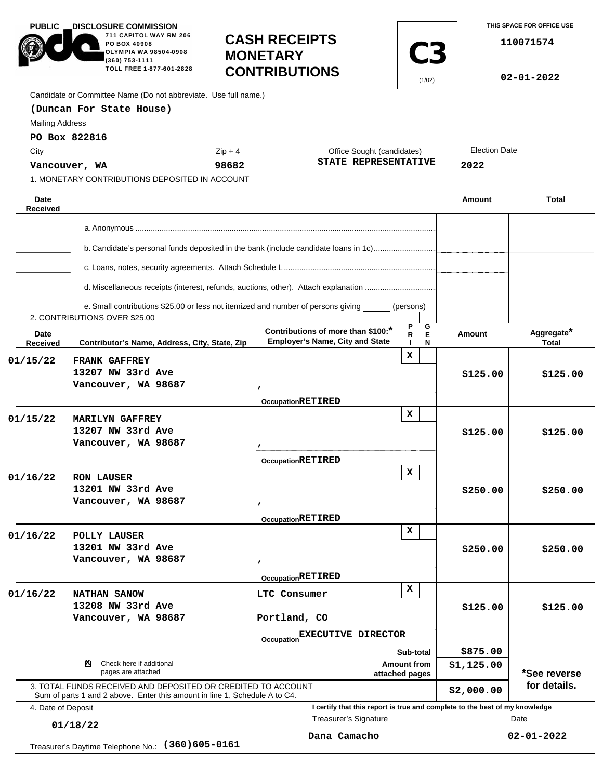| <b>PUBLIC</b>                                         | <b>DISCLOSURE COMMISSION.</b><br>711 CAPITOL WAY RM 206<br>PO BOX 40908                                                                    |                                         | <b>CASH RECEIPTS</b>                                                         |                       |                      | THIS SPACE FOR OFFICE USE<br>110071574 |  |
|-------------------------------------------------------|--------------------------------------------------------------------------------------------------------------------------------------------|-----------------------------------------|------------------------------------------------------------------------------|-----------------------|----------------------|----------------------------------------|--|
|                                                       | OLYMPIA WA 98504-0908<br>(360) 753-1111<br>TOLL FREE 1-877-601-2828                                                                        | <b>MONETARY</b><br><b>CONTRIBUTIONS</b> |                                                                              | <b>C3</b><br>(1/02)   |                      | $02 - 01 - 2022$                       |  |
|                                                       | Candidate or Committee Name (Do not abbreviate. Use full name.)                                                                            |                                         |                                                                              |                       |                      |                                        |  |
|                                                       | (Duncan For State House)                                                                                                                   |                                         |                                                                              |                       |                      |                                        |  |
| <b>Mailing Address</b>                                |                                                                                                                                            |                                         |                                                                              |                       |                      |                                        |  |
|                                                       | PO Box 822816                                                                                                                              |                                         |                                                                              |                       |                      |                                        |  |
|                                                       | $Zip + 4$<br>City                                                                                                                          |                                         | Office Sought (candidates)<br>STATE REPRESENTATIVE                           |                       | <b>Election Date</b> |                                        |  |
| 98682<br>Vancouver, WA                                |                                                                                                                                            |                                         |                                                                              |                       | 2022                 |                                        |  |
|                                                       | 1. MONETARY CONTRIBUTIONS DEPOSITED IN ACCOUNT                                                                                             |                                         |                                                                              |                       |                      |                                        |  |
| Date<br><b>Received</b>                               |                                                                                                                                            |                                         |                                                                              |                       | Amount               | <b>Total</b>                           |  |
|                                                       |                                                                                                                                            |                                         |                                                                              |                       |                      |                                        |  |
|                                                       | b. Candidate's personal funds deposited in the bank (include candidate loans in 1c)                                                        |                                         |                                                                              |                       |                      |                                        |  |
|                                                       |                                                                                                                                            |                                         |                                                                              |                       |                      |                                        |  |
|                                                       |                                                                                                                                            |                                         |                                                                              |                       |                      |                                        |  |
|                                                       | e. Small contributions \$25.00 or less not itemized and number of persons giving                                                           |                                         |                                                                              | (persons)             |                      |                                        |  |
| Date<br>Received                                      | 2. CONTRIBUTIONS OVER \$25.00<br>Contributor's Name, Address, City, State, Zip                                                             |                                         | Contributions of more than \$100:*<br><b>Employer's Name, City and State</b> | P<br>G<br>E<br>R<br>N | <b>Amount</b>        | Aggregate*<br><b>Total</b>             |  |
| 01/15/22                                              | <b>FRANK GAFFREY</b>                                                                                                                       |                                         |                                                                              | x                     |                      |                                        |  |
|                                                       | 13207 NW 33rd Ave                                                                                                                          |                                         |                                                                              |                       | \$125.00             | \$125.00                               |  |
|                                                       | Vancouver, WA 98687                                                                                                                        |                                         |                                                                              |                       |                      |                                        |  |
|                                                       |                                                                                                                                            |                                         | <b>OccupationRETIRED</b>                                                     |                       |                      |                                        |  |
| 01/15/22                                              | <b>MARILYN GAFFREY</b>                                                                                                                     |                                         |                                                                              | $\mathbf x$           |                      | \$125.00                               |  |
|                                                       | 13207 NW 33rd Ave                                                                                                                          |                                         |                                                                              |                       | \$125.00             |                                        |  |
|                                                       | Vancouver, WA 98687                                                                                                                        |                                         |                                                                              |                       |                      |                                        |  |
|                                                       |                                                                                                                                            |                                         | <b>OccupationRETIRED</b>                                                     |                       |                      |                                        |  |
| 01/16/22                                              | <b>RON LAUSER</b>                                                                                                                          |                                         |                                                                              | x                     |                      | \$250.00                               |  |
|                                                       | 13201 NW 33rd Ave                                                                                                                          |                                         |                                                                              |                       | \$250.00             |                                        |  |
|                                                       | Vancouver, WA 98687                                                                                                                        | $\mathbf{r}$                            |                                                                              |                       |                      |                                        |  |
|                                                       |                                                                                                                                            |                                         | <b>OccupationRETIRED</b>                                                     |                       |                      |                                        |  |
| 01/16/22                                              | POLLY LAUSER                                                                                                                               |                                         |                                                                              | x                     |                      | \$250.00                               |  |
|                                                       | 13201 NW 33rd Ave                                                                                                                          |                                         |                                                                              |                       | \$250.00             |                                        |  |
|                                                       | Vancouver, WA 98687                                                                                                                        |                                         |                                                                              |                       |                      |                                        |  |
|                                                       |                                                                                                                                            |                                         | <b>OccupationRETIRED</b>                                                     |                       |                      |                                        |  |
| 01/16/22                                              | NATHAN SANOW                                                                                                                               |                                         | x<br>LTC Consumer                                                            |                       | \$125.00             | \$125.00                               |  |
|                                                       | 13208 NW 33rd Ave                                                                                                                          |                                         |                                                                              |                       |                      |                                        |  |
|                                                       | Vancouver, WA 98687                                                                                                                        |                                         | Portland, CO<br>Occupation EXECUTIVE DIRECTOR                                |                       |                      |                                        |  |
|                                                       |                                                                                                                                            |                                         |                                                                              |                       |                      |                                        |  |
|                                                       |                                                                                                                                            |                                         | Sub-total                                                                    |                       | \$875.00             |                                        |  |
| Check here if additional<br>PЧ.<br>pages are attached |                                                                                                                                            |                                         | <b>Amount from</b><br>attached pages                                         |                       |                      | *See reverse                           |  |
|                                                       | 3. TOTAL FUNDS RECEIVED AND DEPOSITED OR CREDITED TO ACCOUNT<br>Sum of parts 1 and 2 above. Enter this amount in line 1, Schedule A to C4. |                                         |                                                                              | \$2,000.00            | for details.         |                                        |  |
| 4. Date of Deposit                                    |                                                                                                                                            |                                         | I certify that this report is true and complete to the best of my knowledge  |                       |                      |                                        |  |
| 01/18/22                                              |                                                                                                                                            |                                         | Treasurer's Signature                                                        |                       |                      | Date                                   |  |
|                                                       | $(360)605 - 0161$<br>Treasurer's Daytime Telephone No.:                                                                                    |                                         | Dana Camacho                                                                 |                       |                      | $02 - 01 - 2022$                       |  |